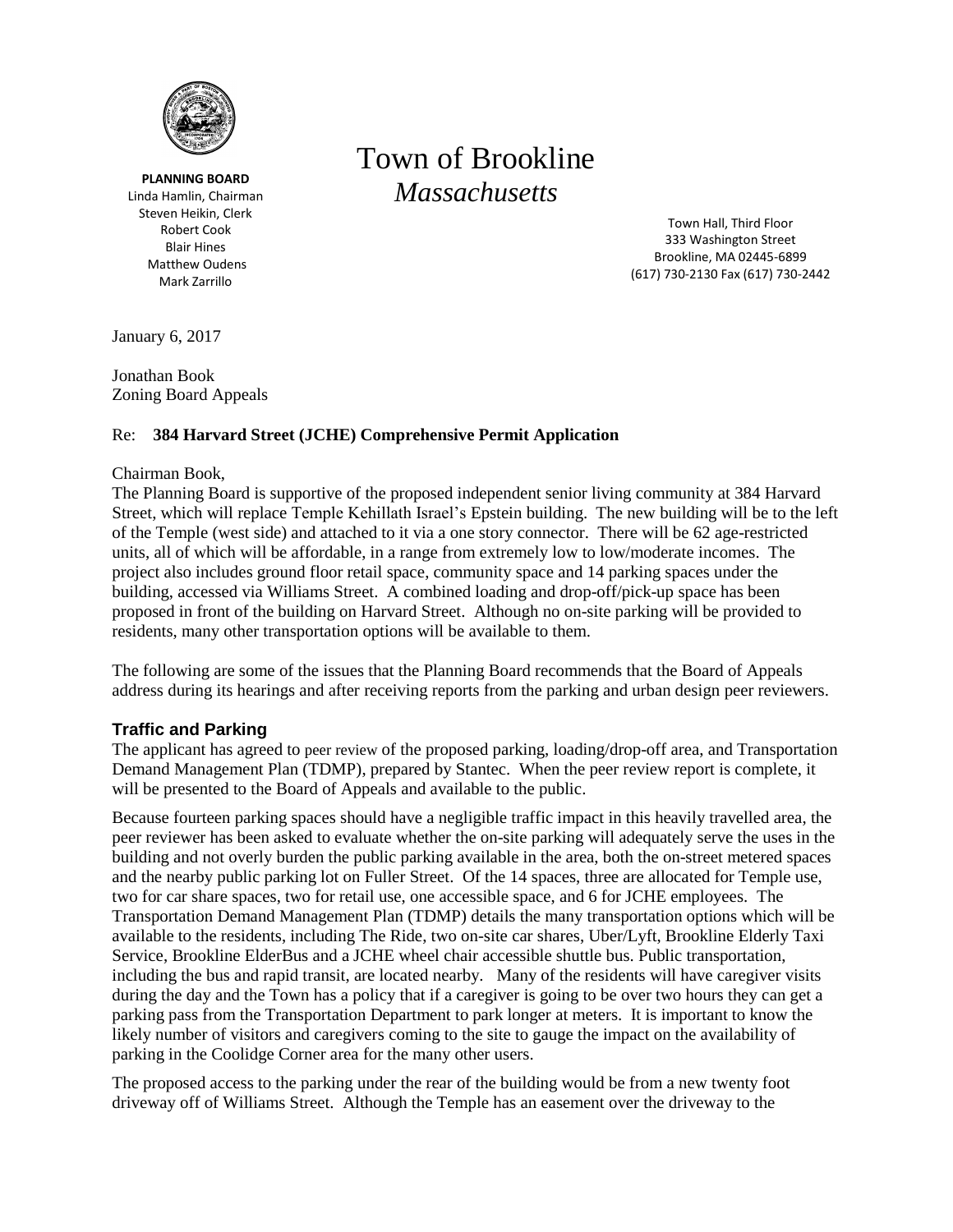

**PLANNING BOARD** Linda Hamlin, Chairman Steven Heikin, Clerk Robert Cook Blair Hines Matthew Oudens Mark Zarrillo

# Town of Brookline *Massachusetts*

Town Hall, Third Floor 333 Washington Street Brookline, MA 02445-6899 (617) 730-2130 Fax (617) 730-2442

January 6, 2017

Jonathan Book Zoning Board Appeals

### Re: **384 Harvard Street (JCHE) Comprehensive Permit Application**

#### Chairman Book,

The Planning Board is supportive of the proposed independent senior living community at 384 Harvard Street, which will replace Temple Kehillath Israel's Epstein building. The new building will be to the left of the Temple (west side) and attached to it via a one story connector. There will be 62 age-restricted units, all of which will be affordable, in a range from extremely low to low/moderate incomes. The project also includes ground floor retail space, community space and 14 parking spaces under the building, accessed via Williams Street. A combined loading and drop-off/pick-up space has been proposed in front of the building on Harvard Street. Although no on-site parking will be provided to residents, many other transportation options will be available to them.

The following are some of the issues that the Planning Board recommends that the Board of Appeals address during its hearings and after receiving reports from the parking and urban design peer reviewers.

# **Traffic and Parking**

The applicant has agreed to peer review of the proposed parking, loading/drop-off area, and Transportation Demand Management Plan (TDMP), prepared by Stantec. When the peer review report is complete, it will be presented to the Board of Appeals and available to the public.

Because fourteen parking spaces should have a negligible traffic impact in this heavily travelled area, the peer reviewer has been asked to evaluate whether the on-site parking will adequately serve the uses in the building and not overly burden the public parking available in the area, both the on-street metered spaces and the nearby public parking lot on Fuller Street. Of the 14 spaces, three are allocated for Temple use, two for car share spaces, two for retail use, one accessible space, and 6 for JCHE employees. The Transportation Demand Management Plan (TDMP) details the many transportation options which will be available to the residents, including The Ride, two on-site car shares, Uber/Lyft, Brookline Elderly Taxi Service, Brookline ElderBus and a JCHE wheel chair accessible shuttle bus. Public transportation, including the bus and rapid transit, are located nearby. Many of the residents will have caregiver visits during the day and the Town has a policy that if a caregiver is going to be over two hours they can get a parking pass from the Transportation Department to park longer at meters. It is important to know the likely number of visitors and caregivers coming to the site to gauge the impact on the availability of parking in the Coolidge Corner area for the many other users.

The proposed access to the parking under the rear of the building would be from a new twenty foot driveway off of Williams Street. Although the Temple has an easement over the driveway to the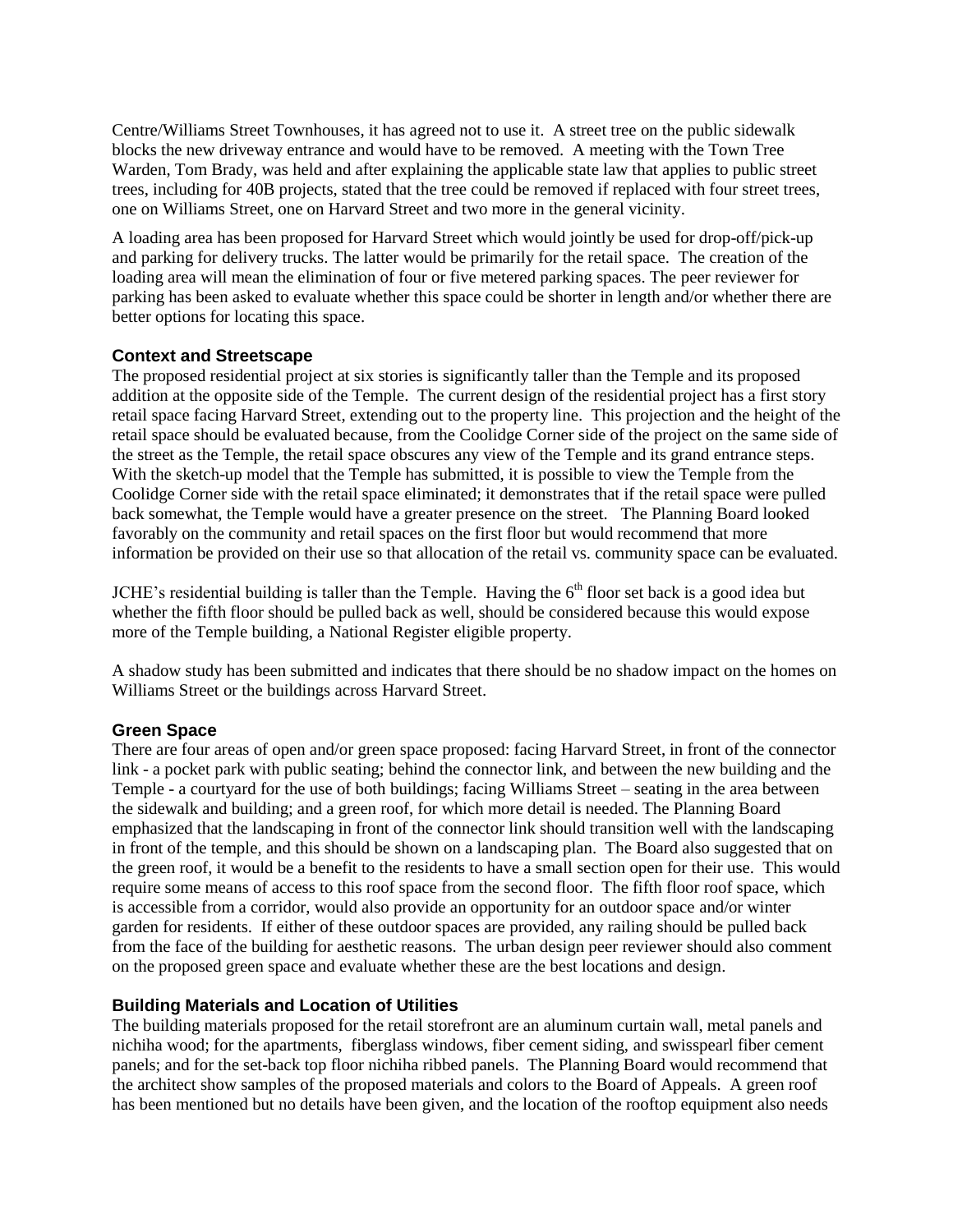Centre/Williams Street Townhouses, it has agreed not to use it. A street tree on the public sidewalk blocks the new driveway entrance and would have to be removed. A meeting with the Town Tree Warden, Tom Brady, was held and after explaining the applicable state law that applies to public street trees, including for 40B projects, stated that the tree could be removed if replaced with four street trees, one on Williams Street, one on Harvard Street and two more in the general vicinity.

A loading area has been proposed for Harvard Street which would jointly be used for drop-off/pick-up and parking for delivery trucks. The latter would be primarily for the retail space. The creation of the loading area will mean the elimination of four or five metered parking spaces. The peer reviewer for parking has been asked to evaluate whether this space could be shorter in length and/or whether there are better options for locating this space.

#### **Context and Streetscape**

The proposed residential project at six stories is significantly taller than the Temple and its proposed addition at the opposite side of the Temple. The current design of the residential project has a first story retail space facing Harvard Street, extending out to the property line. This projection and the height of the retail space should be evaluated because, from the Coolidge Corner side of the project on the same side of the street as the Temple, the retail space obscures any view of the Temple and its grand entrance steps. With the sketch-up model that the Temple has submitted, it is possible to view the Temple from the Coolidge Corner side with the retail space eliminated; it demonstrates that if the retail space were pulled back somewhat, the Temple would have a greater presence on the street. The Planning Board looked favorably on the community and retail spaces on the first floor but would recommend that more information be provided on their use so that allocation of the retail vs. community space can be evaluated.

JCHE's residential building is taller than the Temple. Having the  $6<sup>th</sup>$  floor set back is a good idea but whether the fifth floor should be pulled back as well, should be considered because this would expose more of the Temple building, a National Register eligible property.

A shadow study has been submitted and indicates that there should be no shadow impact on the homes on Williams Street or the buildings across Harvard Street.

# **Green Space**

There are four areas of open and/or green space proposed: facing Harvard Street, in front of the connector link - a pocket park with public seating; behind the connector link, and between the new building and the Temple - a courtyard for the use of both buildings; facing Williams Street – seating in the area between the sidewalk and building; and a green roof, for which more detail is needed. The Planning Board emphasized that the landscaping in front of the connector link should transition well with the landscaping in front of the temple, and this should be shown on a landscaping plan. The Board also suggested that on the green roof, it would be a benefit to the residents to have a small section open for their use. This would require some means of access to this roof space from the second floor. The fifth floor roof space, which is accessible from a corridor, would also provide an opportunity for an outdoor space and/or winter garden for residents. If either of these outdoor spaces are provided, any railing should be pulled back from the face of the building for aesthetic reasons. The urban design peer reviewer should also comment on the proposed green space and evaluate whether these are the best locations and design.

#### **Building Materials and Location of Utilities**

The building materials proposed for the retail storefront are an aluminum curtain wall, metal panels and nichiha wood; for the apartments, fiberglass windows, fiber cement siding, and swisspearl fiber cement panels; and for the set-back top floor nichiha ribbed panels. The Planning Board would recommend that the architect show samples of the proposed materials and colors to the Board of Appeals. A green roof has been mentioned but no details have been given, and the location of the rooftop equipment also needs